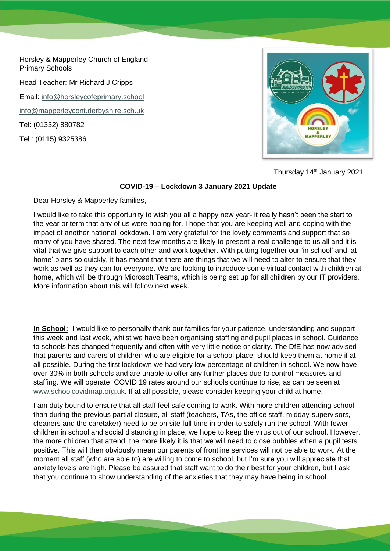Horsley & Mapperley Church of England Primary Schools

Head Teacher: Mr Richard J Cripps

Email: [info@horsleycofeprimary.school](mailto:info@horsleycofeprimary.school)

[info@mapperleycont.derbyshire.sch.uk](mailto:info@mapperleycont.derbyshire.sch.uk)

Tel: (01332) 880782

Tel : (0115) 9325386



Thursday 14<sup>th</sup> January 2021

## **COVID-19 – Lockdown 3 January 2021 Update**

Dear Horsley & Mapperley families,

I would like to take this opportunity to wish you all a happy new year- it really hasn't been the start to the year or term that any of us were hoping for. I hope that you are keeping well and coping with the impact of another national lockdown. I am very grateful for the lovely comments and support that so many of you have shared. The next few months are likely to present a real challenge to us all and it is vital that we give support to each other and work together. With putting together our 'in school' and 'at home' plans so quickly, it has meant that there are things that we will need to alter to ensure that they work as well as they can for everyone. We are looking to introduce some virtual contact with children at home, which will be through Microsoft Teams, which is being set up for all children by our IT providers. More information about this will follow next week.

**In School:** I would like to personally thank our families for your patience, understanding and support this week and last week, whilst we have been organising staffing and pupil places in school. Guidance to schools has changed frequently and often with very little notice or clarity. The DfE has now advised that parents and carers of children who are eligible for a school place, should keep them at home if at all possible. During the first lockdown we had very low percentage of children in school. We now have over 30% in both schools and are unable to offer any further places due to control measures and staffing. We will operate COVID 19 rates around our schools continue to rise, as can be seen at [www.schoolcovidmap.org.uk.](http://www.schoolcovidmap.org.uk/) If at all possible, please consider keeping your child at home.

I am duty bound to ensure that all staff feel safe coming to work. With more children attending school than during the previous partial closure, all staff (teachers, TAs, the office staff, midday-supervisors, cleaners and the caretaker) need to be on site full-time in order to safely run the school. With fewer children in school and social distancing in place, we hope to keep the virus out of our school. However, the more children that attend, the more likely it is that we will need to close bubbles when a pupil tests positive. This will then obviously mean our parents of frontline services will not be able to work. At the moment all staff (who are able to) are willing to come to school, but I'm sure you will appreciate that anxiety levels are high. Please be assured that staff want to do their best for your children, but I ask that you continue to show understanding of the anxieties that they may have being in school.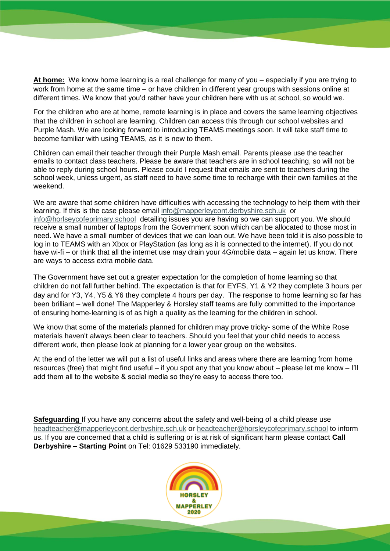**At home:** We know home learning is a real challenge for many of you – especially if you are trying to work from home at the same time – or have children in different year groups with sessions online at different times. We know that you'd rather have your children here with us at school, so would we.

For the children who are at home, remote learning is in place and covers the same learning objectives that the children in school are learning. Children can access this through our school websites and Purple Mash. We are looking forward to introducing TEAMS meetings soon. It will take staff time to become familiar with using TEAMS, as it is new to them.

Children can email their teacher through their Purple Mash email. Parents please use the teacher emails to contact class teachers. Please be aware that teachers are in school teaching, so will not be able to reply during school hours. Please could I request that emails are sent to teachers during the school week, unless urgent, as staff need to have some time to recharge with their own families at the weekend.

We are aware that some children have difficulties with accessing the technology to help them with their learning. If this is the case please email [info@mapperleycont.derbyshire.sch.uk](mailto:info@mapperleycont.derbyshire.sch.uk) or [info@horlseycofeprimary.school](mailto:info@horlseycofeprimary.school) detailing issues you are having so we can support you. We should receive a small number of laptops from the Government soon which can be allocated to those most in need. We have a small number of devices that we can loan out. We have been told it is also possible to log in to TEAMS with an Xbox or PlayStation (as long as it is connected to the internet). If you do not have wi-fi – or think that all the internet use may drain your 4G/mobile data – again let us know. There are ways to access extra mobile data.

The Government have set out a greater expectation for the completion of home learning so that children do not fall further behind. The expectation is that for EYFS, Y1 & Y2 they complete 3 hours per day and for Y3, Y4, Y5 & Y6 they complete 4 hours per day. The response to home learning so far has been brilliant – well done! The Mapperley & Horsley staff teams are fully committed to the importance of ensuring home-learning is of as high a quality as the learning for the children in school.

We know that some of the materials planned for children may prove tricky- some of the White Rose materials haven't always been clear to teachers. Should you feel that your child needs to access different work, then please look at planning for a lower year group on the websites.

At the end of the letter we will put a list of useful links and areas where there are learning from home resources (free) that might find useful – if you spot any that you know about – please let me know – I'll add them all to the website & social media so they're easy to access there too.

**Safeguarding** If you have any concerns about the safety and well-being of a child please use [headteacher@mapperleycont.derbyshire.sch.uk](mailto:headteacher@mapperleycont.derbyshire.sch.uk) or [headteacher@horsleycofeprimary.school](mailto:headteacher@horsleycofeprimary.school) to inform us. If you are concerned that a child is suffering or is at risk of significant harm please contact **Call Derbyshire – Starting Point** on Tel: 01629 533190 immediately.

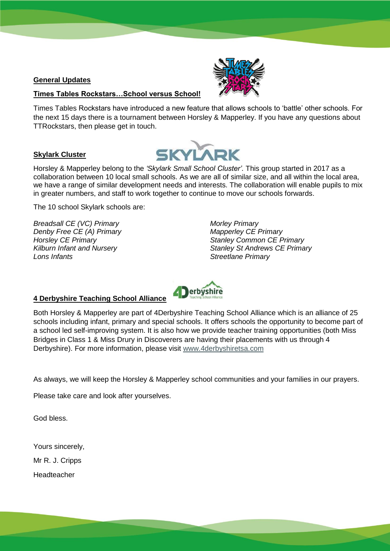#### **General Updates**

# **Times Tables Rockstars…School versus School!**

Times Tables Rockstars have introduced a new feature that allows schools to 'battle' other schools. For the next 15 days there is a tournament between Horsley & Mapperley. If you have any questions about TTRockstars, then please get in touch.

#### **Skylark Cluster**



Horsley & Mapperley belong to the *'Skylark Small School Cluster'*. This group started in 2017 as a collaboration between 10 local small schools. As we are all of similar size, and all within the local area, we have a range of similar development needs and interests. The collaboration will enable pupils to mix in greater numbers, and staff to work together to continue to move our schools forwards.

The 10 school Skylark schools are:

*Breadsall CE (VC) Primary Denby Free CE (A) Primary Horsley CE Primary Kilburn Infant and Nursery Lons Infants*

*Morley Primary Mapperley CE Primary Stanley Common CE Primary Stanley St Andrews CE Primary Streetlane Primary*



# **4 Derbyshire Teaching School Alliance**

Both Horsley & Mapperley are part of 4Derbyshire Teaching School Alliance which is an alliance of 25 schools including infant, primary and special schools. It offers schools the opportunity to become part of a school led self-improving system. It is also how we provide teacher training opportunities (both Miss Bridges in Class 1 & Miss Drury in Discoverers are having their placements with us through 4 Derbyshire). For more information, please visit [www.4derbyshiretsa.com](http://www.4derbyshiretsa.com/)

As always, we will keep the Horsley & Mapperley school communities and your families in our prayers.

Please take care and look after yourselves.

God bless.

Yours sincerely,

Mr R. J. Cripps

Headteacher